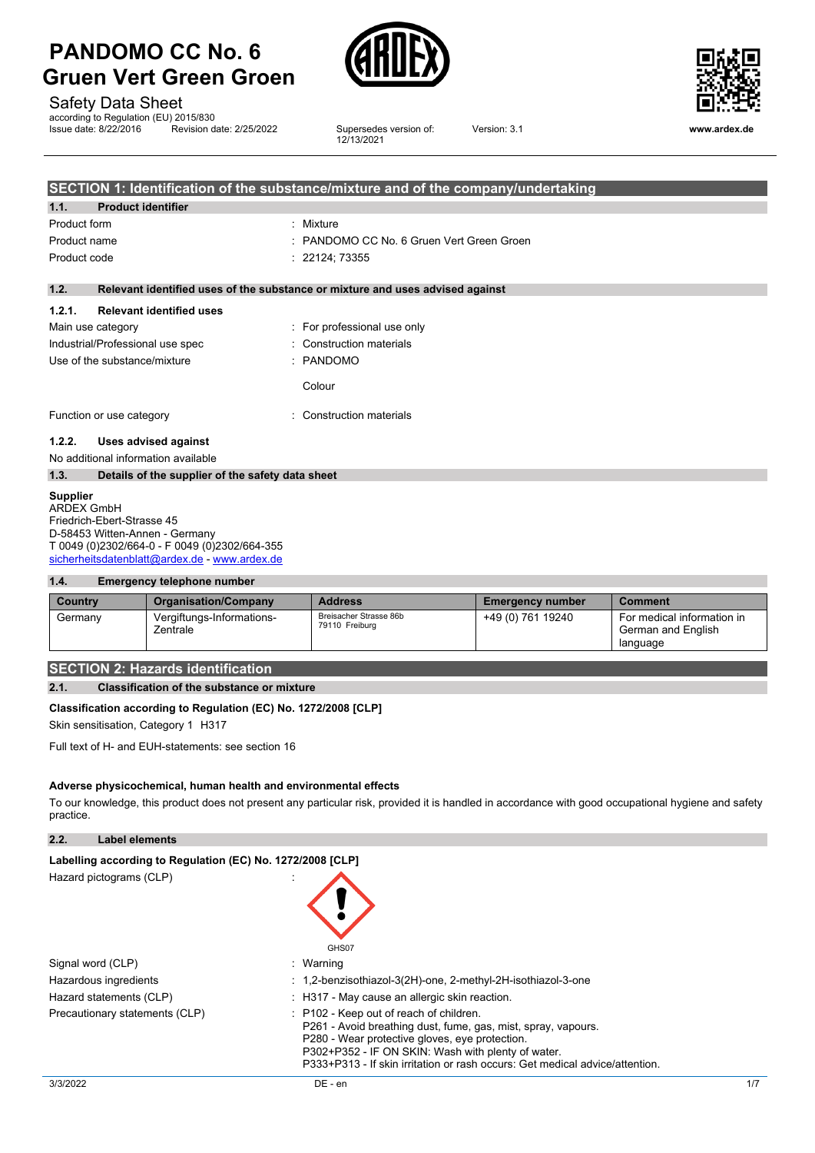

Safety Data Sheet

according to Regulation (EU) 2015/830<br>Issue date: 8/22/2016 Revision d Revision date: 2/25/2022

Supersedes version of:<br>12/13/2021



Version: 3.1 **www.ardex.de**

|              |                                                  | SECTION 1: Identification of the substance/mixture and of the company/undertaking |
|--------------|--------------------------------------------------|-----------------------------------------------------------------------------------|
| 1.1.         | <b>Product identifier</b>                        |                                                                                   |
| Product form |                                                  | : Mixture                                                                         |
| Product name |                                                  | : PANDOMO CC No. 6 Gruen Vert Green Groen                                         |
| Product code |                                                  | : 22124; 73355                                                                    |
| 1.2.         |                                                  | Relevant identified uses of the substance or mixture and uses advised against     |
| 1.2.1.       | <b>Relevant identified uses</b>                  |                                                                                   |
|              | Main use category                                | : For professional use only                                                       |
|              | Industrial/Professional use spec                 | : Construction materials                                                          |
|              | Use of the substance/mixture                     | : PANDOMO                                                                         |
|              |                                                  | Colour                                                                            |
|              | Function or use category                         | : Construction materials                                                          |
| 1.2.2.       | Uses advised against                             |                                                                                   |
|              | No additional information available              |                                                                                   |
| 1.3.         | Details of the supplier of the safety data sheet |                                                                                   |

#### **Supplier**

ARDEX GmbH Friedrich-Ebert-Strasse 45 D-58453 Witten-Annen - Germany T 0049 (0)2302/664-0 - F 0049 (0)2302/664-355 [sicherheitsdatenblatt@ardex.de](mailto:sicherheitsdatenblatt@ardex.de) - [www.ardex.de](http://www.ardex.de/)

#### **1.4. Emergency telephone number**

| Country | <b>Organisation/Company</b>           | <b>Address</b>                           | <b>Emergency number</b> | Comment                                                      |
|---------|---------------------------------------|------------------------------------------|-------------------------|--------------------------------------------------------------|
| Germany | Vergiftungs-Informations-<br>Zentrale | Breisacher Strasse 86b<br>79110 Freiburg | +49 (0) 761 19240       | For medical information in<br>German and English<br>language |

### **SECTION 2: Hazards identification**

#### **2.1. Classification of the substance or mixture**

#### **Classification according to Regulation (EC) No. 1272/2008 [CLP]**

Skin sensitisation, Category 1 H317

Full text of H- and EUH-statements: see section 16

#### **Adverse physicochemical, human health and environmental effects**

To our knowledge, this product does not present any particular risk, provided it is handled in accordance with good occupational hygiene and safety practice.

**2.2. Label elements**

| Labelling according to Regulation (EC) No. 1272/2008 [CLP] |                                                                                                                                                                                                                                                                                                             |
|------------------------------------------------------------|-------------------------------------------------------------------------------------------------------------------------------------------------------------------------------------------------------------------------------------------------------------------------------------------------------------|
| Hazard pictograms (CLP)                                    | GHS07                                                                                                                                                                                                                                                                                                       |
| Signal word (CLP)                                          | : Warning                                                                                                                                                                                                                                                                                                   |
| Hazardous ingredients                                      | $: 1, 2$ -benzisothiazol-3(2H)-one, 2-methyl-2H-isothiazol-3-one                                                                                                                                                                                                                                            |
| Hazard statements (CLP)                                    | : H317 - May cause an allergic skin reaction.                                                                                                                                                                                                                                                               |
| Precautionary statements (CLP)                             | $\therefore$ P102 - Keep out of reach of children.<br>P261 - Avoid breathing dust, fume, gas, mist, spray, vapours.<br>P280 - Wear protective gloves, eve protection.<br>P302+P352 - IF ON SKIN: Wash with plenty of water.<br>P333+P313 - If skin irritation or rash occurs: Get medical advice/attention. |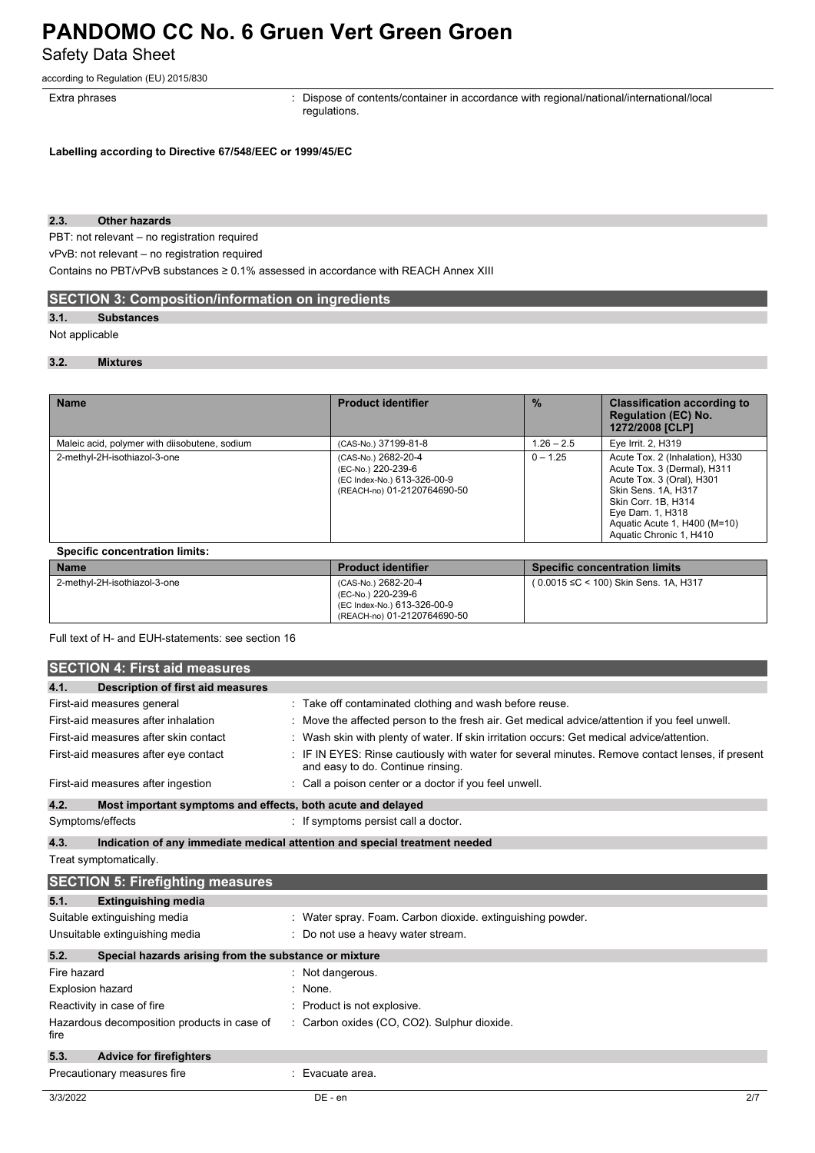## **PANDOMO CC No. 6 Gruen Vert Green Groen** Safety Data Sheet

according to Regulation (EU) 2015/830

Extra phrases **in the pharaely contents**: Dispose of contents/container in accordance with regional/national/international/local regulations.

**Labelling according to Directive 67/548/EEC or 1999/45/EC**

#### **2.3. Other hazards**

PBT: not relevant – no registration required

vPvB: not relevant – no registration required

Contains no PBT/vPvB substances ≥ 0.1% assessed in accordance with REACH Annex XIII

### **SECTION 3: Composition/information on ingredients**

#### **3.1. Substances**

#### Not applicable

#### **3.2. Mixtures**

| <b>Name</b>                                   | <b>Product identifier</b>                                                                               | $\frac{9}{6}$ | <b>Classification according to</b><br><b>Regulation (EC) No.</b><br>1272/2008 [CLP]                                                                                                                                      |
|-----------------------------------------------|---------------------------------------------------------------------------------------------------------|---------------|--------------------------------------------------------------------------------------------------------------------------------------------------------------------------------------------------------------------------|
| Maleic acid, polymer with diisobutene, sodium | (CAS-No.) 37199-81-8                                                                                    | $1.26 - 2.5$  | Eye Irrit. 2, H319                                                                                                                                                                                                       |
| 2-methyl-2H-isothiazol-3-one                  | (CAS-No.) 2682-20-4<br>(EC-No.) 220-239-6<br>(EC Index-No.) 613-326-00-9<br>(REACH-no) 01-2120764690-50 | $0 - 1.25$    | Acute Tox. 2 (Inhalation), H330<br>Acute Tox. 3 (Dermal), H311<br>Acute Tox. 3 (Oral), H301<br>Skin Sens. 1A, H317<br>Skin Corr. 1B, H314<br>Eye Dam. 1, H318<br>Aguatic Acute 1, H400 (M=10)<br>Aquatic Chronic 1, H410 |

| <b>Specific concentration limits:</b> |                                                                                                         |                                       |
|---------------------------------------|---------------------------------------------------------------------------------------------------------|---------------------------------------|
| <b>Name</b>                           | <b>Product identifier</b>                                                                               | <b>Specific concentration limits</b>  |
| 2-methyl-2H-isothiazol-3-one          | (CAS-No.) 2682-20-4<br>(EC-No.) 220-239-6<br>(EC Index-No.) 613-326-00-9<br>(REACH-no) 01-2120764690-50 | (0.0015 ≤C < 100) Skin Sens. 1A, H317 |

Full text of H- and EUH-statements: see section 16

|                         | <b>SECTION 4: First aid measures</b>                        |                                                                                                                                     |
|-------------------------|-------------------------------------------------------------|-------------------------------------------------------------------------------------------------------------------------------------|
| 4.1.                    | Description of first aid measures                           |                                                                                                                                     |
|                         | First-aid measures general                                  | : Take off contaminated clothing and wash before reuse.                                                                             |
|                         | First-aid measures after inhalation                         | Move the affected person to the fresh air. Get medical advice/attention if you feel unwell.                                         |
|                         | First-aid measures after skin contact                       | Wash skin with plenty of water. If skin irritation occurs: Get medical advice/attention.                                            |
|                         | First-aid measures after eye contact                        | IF IN EYES: Rinse cautiously with water for several minutes. Remove contact lenses, if present<br>and easy to do. Continue rinsing. |
|                         | First-aid measures after ingestion                          | Call a poison center or a doctor if you feel unwell.                                                                                |
| 4.2.                    | Most important symptoms and effects, both acute and delayed |                                                                                                                                     |
|                         | Symptoms/effects                                            | : If symptoms persist call a doctor.                                                                                                |
| 4.3.                    |                                                             | Indication of any immediate medical attention and special treatment needed                                                          |
|                         | Treat symptomatically.                                      |                                                                                                                                     |
|                         | <b>SECTION 5: Firefighting measures</b>                     |                                                                                                                                     |
| 5.1.                    | <b>Extinguishing media</b>                                  |                                                                                                                                     |
|                         | Suitable extinguishing media                                | : Water spray. Foam. Carbon dioxide. extinguishing powder.                                                                          |
|                         | Unsuitable extinguishing media                              | : Do not use a heavy water stream.                                                                                                  |
| 5.2.                    | Special hazards arising from the substance or mixture       |                                                                                                                                     |
| Fire hazard             |                                                             | : Not dangerous.                                                                                                                    |
| <b>Explosion hazard</b> |                                                             | None.                                                                                                                               |
|                         | Reactivity in case of fire                                  | Product is not explosive.                                                                                                           |
| fire                    | Hazardous decomposition products in case of                 | : Carbon oxides (CO, CO2). Sulphur dioxide.                                                                                         |
| 5.3.                    | <b>Advice for firefighters</b>                              |                                                                                                                                     |
|                         | Precautionary measures fire                                 | Evacuate area.                                                                                                                      |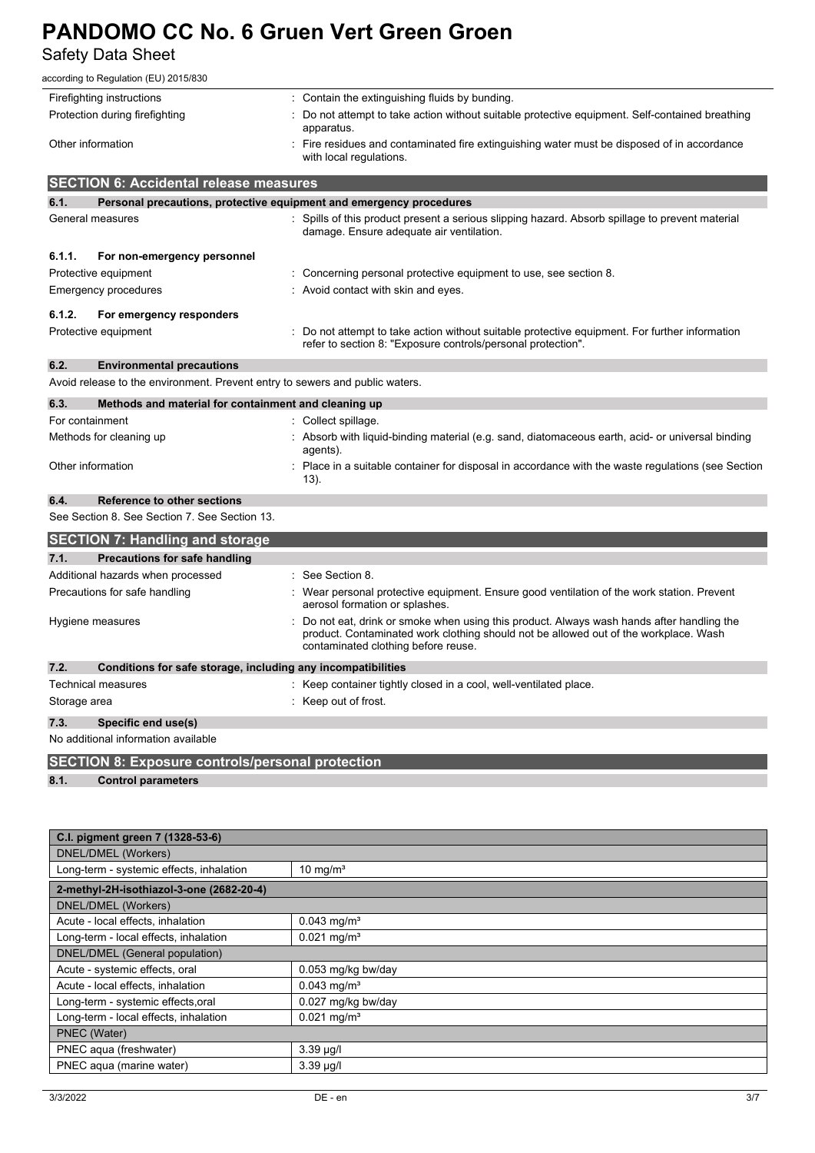Safety Data Sheet

| according to Regulation (EU) 2015/830                                        |                                                                                                                                                                                                                         |  |
|------------------------------------------------------------------------------|-------------------------------------------------------------------------------------------------------------------------------------------------------------------------------------------------------------------------|--|
| Firefighting instructions                                                    | : Contain the extinguishing fluids by bunding.                                                                                                                                                                          |  |
| Protection during firefighting                                               | Do not attempt to take action without suitable protective equipment. Self-contained breathing<br>apparatus.                                                                                                             |  |
| Other information                                                            | Fire residues and contaminated fire extinguishing water must be disposed of in accordance<br>with local regulations.                                                                                                    |  |
| <b>SECTION 6: Accidental release measures</b>                                |                                                                                                                                                                                                                         |  |
| 6.1.<br>Personal precautions, protective equipment and emergency procedures  |                                                                                                                                                                                                                         |  |
| General measures                                                             | : Spills of this product present a serious slipping hazard. Absorb spillage to prevent material<br>damage. Ensure adequate air ventilation.                                                                             |  |
| 6.1.1.<br>For non-emergency personnel                                        |                                                                                                                                                                                                                         |  |
| Protective equipment                                                         | : Concerning personal protective equipment to use, see section 8.                                                                                                                                                       |  |
| <b>Emergency procedures</b>                                                  | : Avoid contact with skin and eyes.                                                                                                                                                                                     |  |
| 6.1.2.<br>For emergency responders                                           |                                                                                                                                                                                                                         |  |
| Protective equipment                                                         | : Do not attempt to take action without suitable protective equipment. For further information<br>refer to section 8: "Exposure controls/personal protection".                                                          |  |
| 6.2.<br><b>Environmental precautions</b>                                     |                                                                                                                                                                                                                         |  |
| Avoid release to the environment. Prevent entry to sewers and public waters. |                                                                                                                                                                                                                         |  |
| 6.3.<br>Methods and material for containment and cleaning up                 |                                                                                                                                                                                                                         |  |
| For containment                                                              | : Collect spillage.                                                                                                                                                                                                     |  |
| Methods for cleaning up                                                      | Absorb with liquid-binding material (e.g. sand, diatomaceous earth, acid- or universal binding<br>agents).                                                                                                              |  |
| Other information                                                            | : Place in a suitable container for disposal in accordance with the waste regulations (see Section<br>13).                                                                                                              |  |
| 6.4.<br><b>Reference to other sections</b>                                   |                                                                                                                                                                                                                         |  |
| See Section 8. See Section 7. See Section 13.                                |                                                                                                                                                                                                                         |  |
| <b>SECTION 7: Handling and storage</b>                                       |                                                                                                                                                                                                                         |  |
| 7.1.<br><b>Precautions for safe handling</b>                                 |                                                                                                                                                                                                                         |  |
| Additional hazards when processed                                            | : See Section 8.                                                                                                                                                                                                        |  |
| Precautions for safe handling                                                | : Wear personal protective equipment. Ensure good ventilation of the work station. Prevent<br>aerosol formation or splashes.                                                                                            |  |
| Hygiene measures                                                             | Do not eat, drink or smoke when using this product. Always wash hands after handling the<br>product. Contaminated work clothing should not be allowed out of the workplace. Wash<br>contaminated clothing before reuse. |  |
| 7.2.<br>Conditions for safe storage, including any incompatibilities         |                                                                                                                                                                                                                         |  |
| <b>Technical measures</b>                                                    | : Keep container tightly closed in a cool, well-ventilated place.                                                                                                                                                       |  |
| Storage area                                                                 | : Keep out of frost.                                                                                                                                                                                                    |  |
| 7.3.<br>Specific end use(s)                                                  |                                                                                                                                                                                                                         |  |
| No additional information available                                          |                                                                                                                                                                                                                         |  |

**SECTION 8: Exposure controls/personal protection**

**8.1. Control parameters**

| C.I. pigment green 7 (1328-53-6)         |                           |  |
|------------------------------------------|---------------------------|--|
| DNEL/DMEL (Workers)                      |                           |  |
| Long-term - systemic effects, inhalation | 10 mg/ $m3$               |  |
| 2-methyl-2H-isothiazol-3-one (2682-20-4) |                           |  |
| DNEL/DMEL (Workers)                      |                           |  |
| Acute - local effects, inhalation        | $0.043$ mg/m <sup>3</sup> |  |
| Long-term - local effects, inhalation    | $0.021$ mg/m <sup>3</sup> |  |
| DNEL/DMEL (General population)           |                           |  |
| Acute - systemic effects, oral           | 0.053 mg/kg bw/day        |  |
| Acute - local effects, inhalation        | $0.043$ mg/m <sup>3</sup> |  |
| Long-term - systemic effects, oral       | 0.027 mg/kg bw/day        |  |
| Long-term - local effects, inhalation    | $0.021$ mg/m <sup>3</sup> |  |
| <b>PNEC</b> (Water)                      |                           |  |
| PNEC aqua (freshwater)                   | $3.39 \mu g/l$            |  |
| PNEC aqua (marine water)                 | $3.39 \mu g/l$            |  |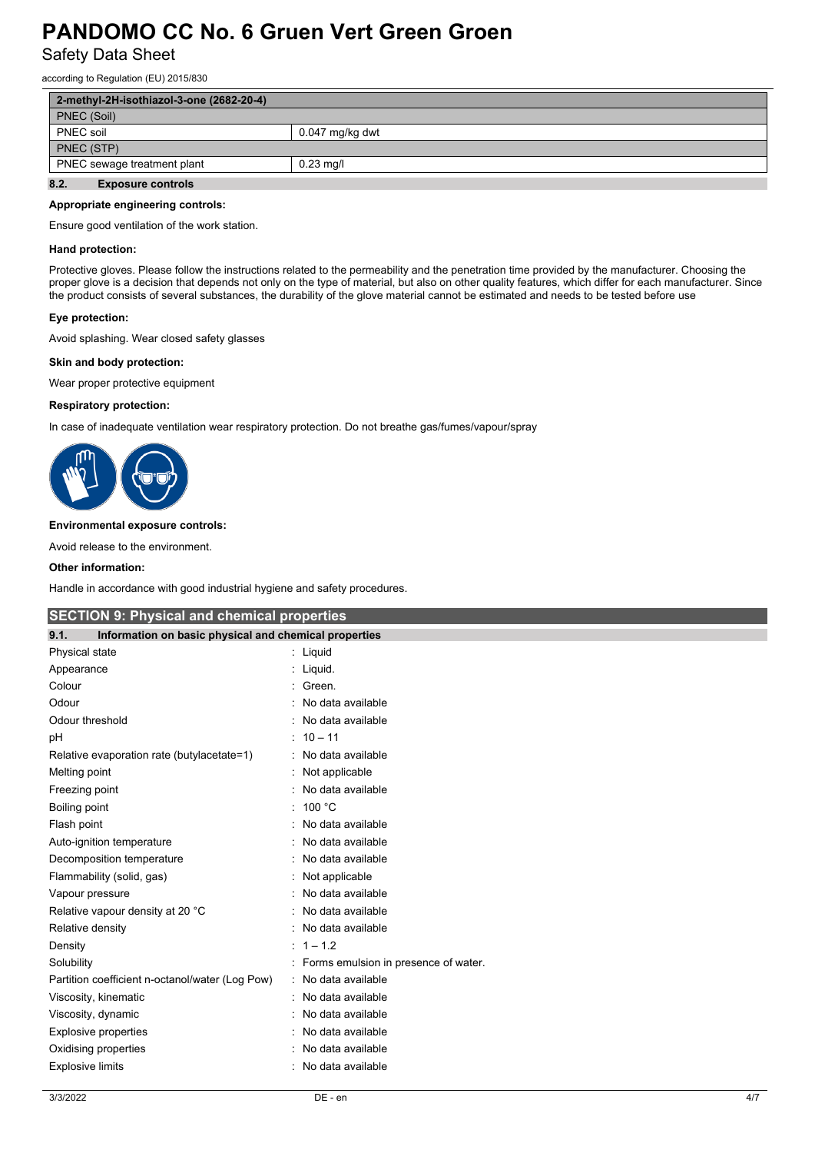Safety Data Sheet

according to Regulation (EU) 2015/830

| 2-methyl-2H-isothiazol-3-one (2682-20-4) |                 |  |
|------------------------------------------|-----------------|--|
| PNEC (Soil)                              |                 |  |
| <b>PNEC</b> soil                         | 0.047 mg/kg dwt |  |
| PNEC (STP)                               |                 |  |
| PNEC sewage treatment plant              | $0.23$ mg/l     |  |
| 8.2.<br><b>Exposure controls</b>         |                 |  |

#### **Appropriate engineering controls:**

Ensure good ventilation of the work station.

#### **Hand protection:**

Protective gloves. Please follow the instructions related to the permeability and the penetration time provided by the manufacturer. Choosing the proper glove is a decision that depends not only on the type of material, but also on other quality features, which differ for each manufacturer. Since the product consists of several substances, the durability of the glove material cannot be estimated and needs to be tested before use

#### **Eye protection:**

Avoid splashing. Wear closed safety glasses

#### **Skin and body protection:**

Wear proper protective equipment

#### **Respiratory protection:**

In case of inadequate ventilation wear respiratory protection. Do not breathe gas/fumes/vapour/spray



#### **Environmental exposure controls:**

Avoid release to the environment.

#### **Other information:**

Handle in accordance with good industrial hygiene and safety procedures.

| <b>SECTION 9: Physical and chemical properties</b>            |                                      |  |
|---------------------------------------------------------------|--------------------------------------|--|
| Information on basic physical and chemical properties<br>9.1. |                                      |  |
| Physical state                                                | : Liquid                             |  |
| Appearance                                                    | : Liquid.                            |  |
| Colour                                                        | Green.                               |  |
| Odour                                                         | No data available                    |  |
| Odour threshold                                               | No data available                    |  |
| рH                                                            | $: 10 - 11$                          |  |
| Relative evaporation rate (butylacetate=1)                    | No data available                    |  |
| Melting point                                                 | Not applicable                       |  |
| Freezing point                                                | No data available                    |  |
| Boiling point                                                 | 100 $^{\circ}$ C                     |  |
| Flash point                                                   | No data available                    |  |
| Auto-ignition temperature                                     | No data available                    |  |
| Decomposition temperature                                     | No data available                    |  |
| Flammability (solid, gas)                                     | : Not applicable                     |  |
| Vapour pressure                                               | No data available                    |  |
| Relative vapour density at 20 °C                              | No data available                    |  |
| Relative density                                              | No data available                    |  |
| Density                                                       | $: 1 - 1.2$                          |  |
| Solubility                                                    | Forms emulsion in presence of water. |  |
| Partition coefficient n-octanol/water (Log Pow)               | : No data available                  |  |
| Viscosity, kinematic                                          | No data available                    |  |
| Viscosity, dynamic                                            | No data available                    |  |
| Explosive properties                                          | No data available                    |  |
| Oxidising properties                                          | No data available                    |  |
| <b>Explosive limits</b>                                       | No data available                    |  |
|                                                               |                                      |  |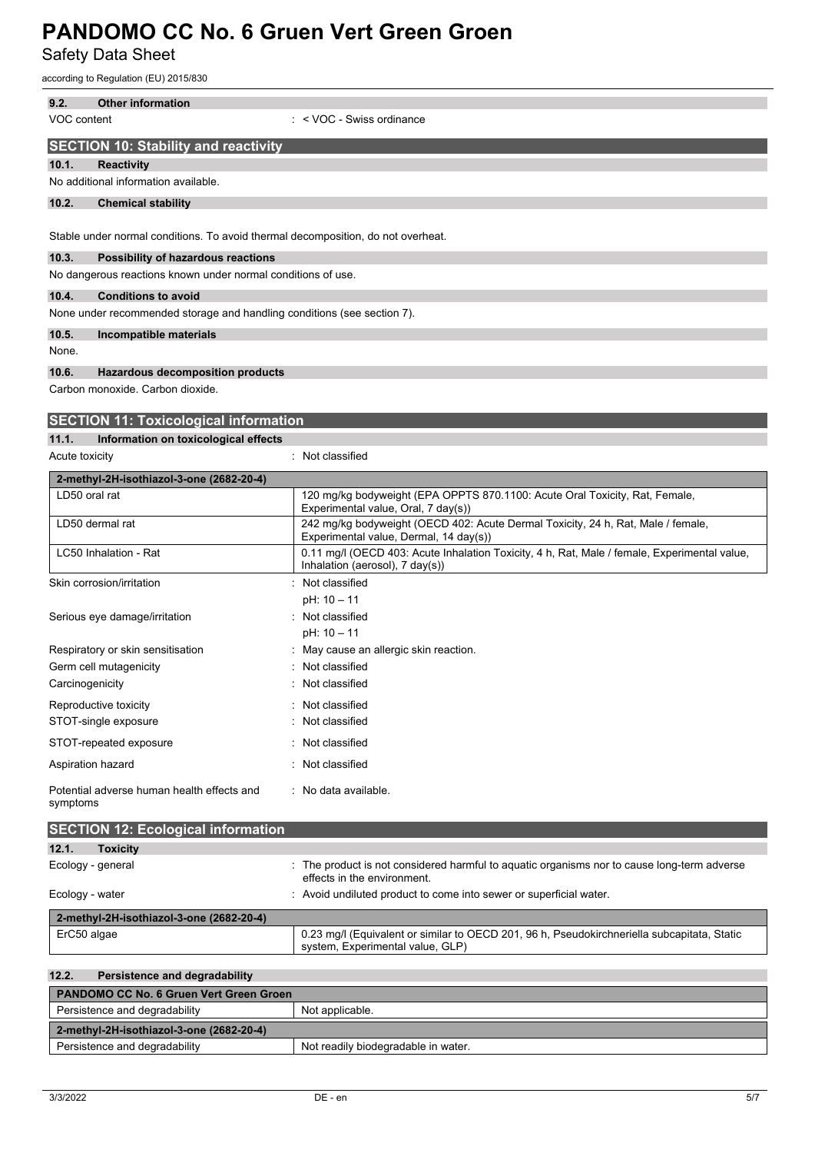Safety Data Sheet

according to Regulation (EU) 2015/830

| 9.2.           | <b>Other information</b>                                                         |
|----------------|----------------------------------------------------------------------------------|
| VOC content    | $:$ < VOC - Swiss ordinance                                                      |
|                | <b>SECTION 10: Stability and reactivity</b>                                      |
| 10.1.          | <b>Reactivity</b>                                                                |
|                | No additional information available.                                             |
| 10.2.          | <b>Chemical stability</b>                                                        |
|                |                                                                                  |
|                | Stable under normal conditions. To avoid thermal decomposition, do not overheat. |
| 10.3.          | Possibility of hazardous reactions                                               |
|                | No dangerous reactions known under normal conditions of use.                     |
| 10.4.          | <b>Conditions to avoid</b>                                                       |
|                | None under recommended storage and handling conditions (see section 7).          |
| 10.5.          | Incompatible materials                                                           |
| None.          |                                                                                  |
| 10.6.          | <b>Hazardous decomposition products</b>                                          |
|                | Carbon monoxide, Carbon dioxide.                                                 |
|                |                                                                                  |
|                | <b>SECTION 11: Toxicological information</b>                                     |
| 11.1.          | Information on toxicological effects                                             |
| Acute toxicity | : Not classified                                                                 |

| 2-methyl-2H-isothiazol-3-one (2682-20-4)               |                                                                                                                                            |
|--------------------------------------------------------|--------------------------------------------------------------------------------------------------------------------------------------------|
| LD50 oral rat                                          | 120 mg/kg bodyweight (EPA OPPTS 870.1100: Acute Oral Toxicity, Rat, Female,<br>Experimental value, Oral, 7 day(s))                         |
| LD50 dermal rat                                        | 242 mg/kg bodyweight (OECD 402: Acute Dermal Toxicity, 24 h, Rat, Male / female,<br>Experimental value, Dermal, 14 day(s))                 |
| LC50 Inhalation - Rat                                  | 0.11 mg/l (OECD 403: Acute Inhalation Toxicity, 4 h, Rat, Male / female, Experimental value,<br>Inhalation (aerosol), $7 \text{ day}(s)$ ) |
| Skin corrosion/irritation                              | : Not classified                                                                                                                           |
|                                                        | $pH: 10 - 11$                                                                                                                              |
| Serious eye damage/irritation                          | : Not classified                                                                                                                           |
|                                                        | pH: 10 - 11                                                                                                                                |
| Respiratory or skin sensitisation                      | : May cause an allergic skin reaction.                                                                                                     |
| Germ cell mutagenicity                                 | : Not classified                                                                                                                           |
| Carcinogenicity                                        | : Not classified                                                                                                                           |
| Reproductive toxicity                                  | : Not classified                                                                                                                           |
| STOT-single exposure                                   | : Not classified                                                                                                                           |
| STOT-repeated exposure                                 | : Not classified                                                                                                                           |
| Aspiration hazard                                      | : Not classified                                                                                                                           |
| Potential adverse human health effects and<br>symptoms | : No data available.                                                                                                                       |

| <b>SECTION 12: Ecological information</b> |                                                                                                                                 |
|-------------------------------------------|---------------------------------------------------------------------------------------------------------------------------------|
| 12.1.<br><b>Toxicity</b>                  |                                                                                                                                 |
| Ecology - general                         | : The product is not considered harmful to aquatic organisms nor to cause long-term adverse<br>effects in the environment.      |
| Ecology - water                           | : Avoid undiluted product to come into sewer or superficial water.                                                              |
| 2-methyl-2H-isothiazol-3-one (2682-20-4)  |                                                                                                                                 |
| ErC50 algae                               | 0.23 mg/l (Equivalent or similar to OECD 201, 96 h, Pseudokirchneriella subcapitata, Static<br>system, Experimental value, GLP) |

| 12.2.<br>Persistence and degradability         |                                     |
|------------------------------------------------|-------------------------------------|
| <b>PANDOMO CC No. 6 Gruen Vert Green Groen</b> |                                     |
| Persistence and degradability                  | Not applicable.                     |
| 2-methyl-2H-isothiazol-3-one (2682-20-4)       |                                     |
| Persistence and degradability                  | Not readily biodegradable in water. |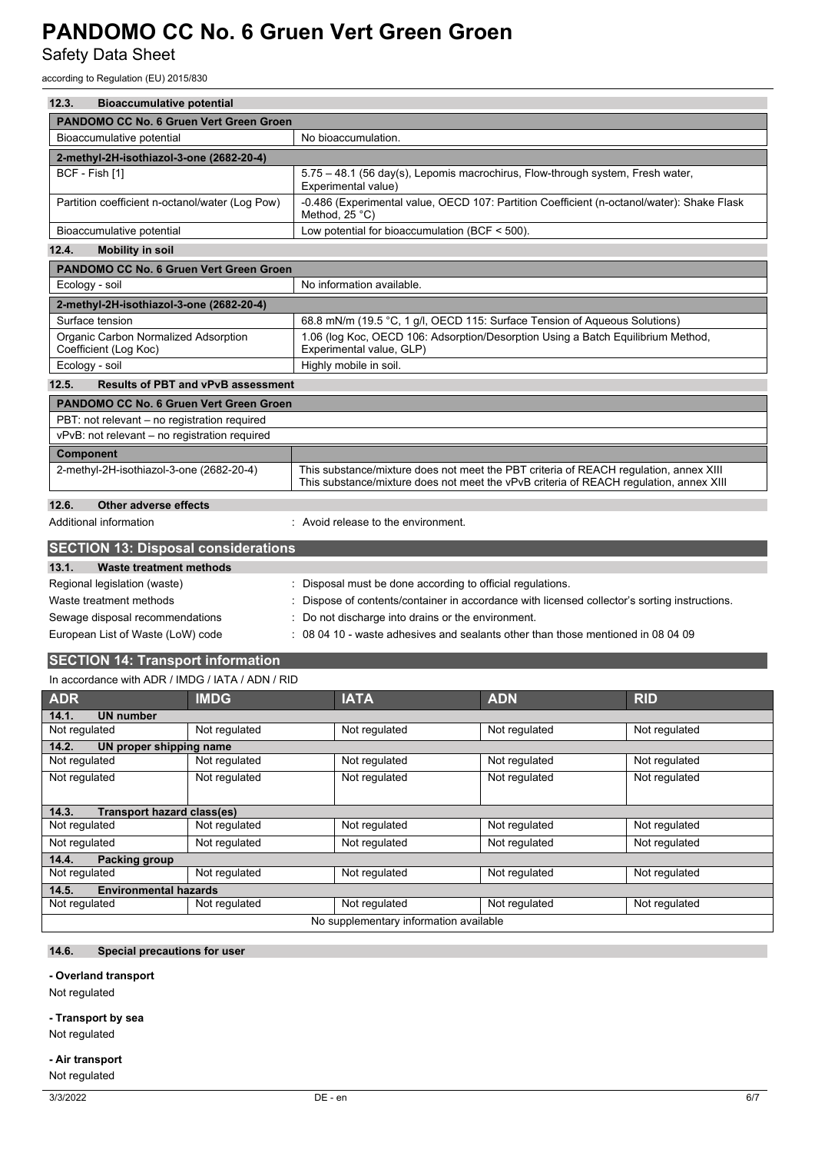Safety Data Sheet

according to Regulation (EU) 2015/830

| 12.3.<br><b>Bioaccumulative potential</b>                     |                                                                                                                                                                                 |  |
|---------------------------------------------------------------|---------------------------------------------------------------------------------------------------------------------------------------------------------------------------------|--|
| <b>PANDOMO CC No. 6 Gruen Vert Green Groen</b>                |                                                                                                                                                                                 |  |
| Bioaccumulative potential                                     | No bioaccumulation.                                                                                                                                                             |  |
| 2-methyl-2H-isothiazol-3-one (2682-20-4)                      |                                                                                                                                                                                 |  |
| BCF - Fish [1]                                                | 5.75 - 48.1 (56 day(s), Lepomis macrochirus, Flow-through system, Fresh water,<br>Experimental value)                                                                           |  |
| Partition coefficient n-octanol/water (Log Pow)               | -0.486 (Experimental value, OECD 107: Partition Coefficient (n-octanol/water): Shake Flask<br>Method, 25 °C)                                                                    |  |
| Bioaccumulative potential                                     | Low potential for bioaccumulation (BCF $<$ 500).                                                                                                                                |  |
| 12.4.<br><b>Mobility in soil</b>                              |                                                                                                                                                                                 |  |
| <b>PANDOMO CC No. 6 Gruen Vert Green Groen</b>                |                                                                                                                                                                                 |  |
| Ecology - soil                                                | No information available.                                                                                                                                                       |  |
| 2-methyl-2H-isothiazol-3-one (2682-20-4)                      |                                                                                                                                                                                 |  |
| Surface tension                                               | 68.8 mN/m (19.5 °C, 1 g/l, OECD 115: Surface Tension of Aqueous Solutions)                                                                                                      |  |
| Organic Carbon Normalized Adsorption<br>Coefficient (Log Koc) | 1.06 (log Koc, OECD 106: Adsorption/Desorption Using a Batch Equilibrium Method,<br>Experimental value, GLP)                                                                    |  |
| Ecology - soil                                                | Highly mobile in soil.                                                                                                                                                          |  |
| 12.5.<br><b>Results of PBT and vPvB assessment</b>            |                                                                                                                                                                                 |  |
| <b>PANDOMO CC No. 6 Gruen Vert Green Groen</b>                |                                                                                                                                                                                 |  |
| PBT: not relevant - no registration required                  |                                                                                                                                                                                 |  |
| vPvB: not relevant - no registration required                 |                                                                                                                                                                                 |  |
| <b>Component</b>                                              |                                                                                                                                                                                 |  |
| 2-methyl-2H-isothiazol-3-one (2682-20-4)                      | This substance/mixture does not meet the PBT criteria of REACH regulation, annex XIII<br>This substance/mixture does not meet the vPvB criteria of REACH regulation, annex XIII |  |
| 12.6.<br><b>Other adverse effects</b>                         |                                                                                                                                                                                 |  |
| Additional information                                        | : Avoid release to the environment.                                                                                                                                             |  |
| <b>SECTION 13: Disposal considerations</b>                    |                                                                                                                                                                                 |  |
| 13.1.<br><b>Waste treatment methods</b>                       |                                                                                                                                                                                 |  |
| Regional legislation (waste)                                  | Disposal must be done according to official regulations.                                                                                                                        |  |
| Waste treatment methods                                       | Dispose of contents/container in accordance with licensed collector's sorting instructions.                                                                                     |  |
| Sewage disposal recommendations                               | Do not discharge into drains or the environment.                                                                                                                                |  |
| European List of Waste (LoW) code                             | 08 04 10 - waste adhesives and sealants other than those mentioned in 08 04 09                                                                                                  |  |
| <b>SECTION 14: Transport information</b>                      |                                                                                                                                                                                 |  |
| In accordance with ADR / IMDG / IATA / ADN / RID              |                                                                                                                                                                                 |  |
| $\mathbf{u}$                                                  | $\mathbf{L}$                                                                                                                                                                    |  |

| <b>ADR</b>                                 | <b>IMDG</b>   | <b>IATA</b>                            | <b>ADN</b>    | <b>RID</b>    |
|--------------------------------------------|---------------|----------------------------------------|---------------|---------------|
| 14.1.<br><b>UN number</b>                  |               |                                        |               |               |
| Not regulated                              | Not regulated | Not regulated                          | Not regulated | Not regulated |
| 14.2.<br>UN proper shipping name           |               |                                        |               |               |
| Not regulated                              | Not regulated | Not regulated                          | Not regulated | Not regulated |
| Not regulated                              | Not regulated | Not regulated                          | Not regulated | Not regulated |
| 14.3.<br><b>Transport hazard class(es)</b> |               |                                        |               |               |
| Not regulated                              | Not regulated | Not regulated                          | Not regulated | Not regulated |
| Not regulated                              | Not regulated | Not regulated                          | Not regulated | Not regulated |
| 14.4.<br><b>Packing group</b>              |               |                                        |               |               |
| Not regulated                              | Not regulated | Not regulated                          | Not regulated | Not regulated |
| <b>Environmental hazards</b><br>14.5.      |               |                                        |               |               |
| Not regulated                              | Not regulated | Not regulated                          | Not regulated | Not regulated |
|                                            |               | No supplementary information available |               |               |

## **14.6. Special precautions for user**

### **- Overland transport**

Not regulated

### **- Transport by sea**

Not regulated

### **- Air transport**